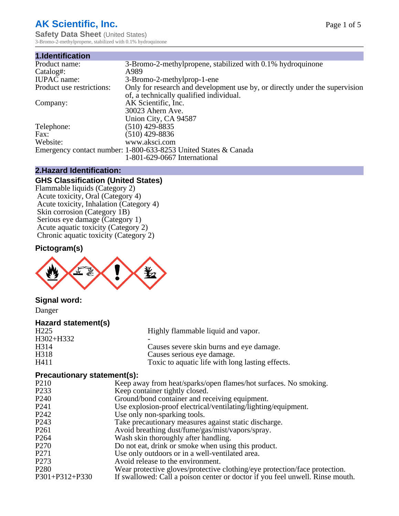## **AK Scientific, Inc.**

**Safety Data Sheet (United States)** 3-Bromo-2-methylpropene, stabilized with 0.1% hydroquinone

| 1.Identification          |                                                                             |
|---------------------------|-----------------------------------------------------------------------------|
| Product name:             | 3-Bromo-2-methylpropene, stabilized with 0.1% hydroquinone                  |
| Catalog#:                 | A989                                                                        |
| <b>IUPAC</b> name:        | 3-Bromo-2-methylprop-1-ene                                                  |
| Product use restrictions: | Only for research and development use by, or directly under the supervision |
|                           | of, a technically qualified individual.                                     |
| Company:                  | AK Scientific, Inc.                                                         |
|                           | 30023 Ahern Ave.                                                            |
|                           | Union City, CA 94587                                                        |
| Telephone:                | $(510)$ 429-8835                                                            |
| Fax:                      | $(510)$ 429-8836                                                            |
| Website:                  | www.aksci.com                                                               |
|                           | Emergency contact number: 1-800-633-8253 United States & Canada             |
|                           | 1-801-629-0667 International                                                |

### **2.Hazard Identification:**

## **GHS Classification (United States)**

Flammable liquids (Category 2) Acute toxicity, Oral (Category 4) Acute toxicity, Inhalation (Category 4) Skin corrosion (Category 1B) Serious eye damage (Category 1) Acute aquatic toxicity (Category 2) Chronic aquatic toxicity (Category 2)

## **Pictogram(s)**



## **Signal word:**

Danger

## **Hazard statement(s)**

| H <sub>225</sub>  | Highly flammable liquid and vapor.               |
|-------------------|--------------------------------------------------|
| H302+H332         |                                                  |
| H <sub>3</sub> 14 | Causes severe skin burns and eye damage.         |
| H318              | Causes serious eye damage.                       |
| H411              | Toxic to aquatic life with long lasting effects. |

#### **Precautionary statement(s):**

| $\blacksquare$    |                                                                               |
|-------------------|-------------------------------------------------------------------------------|
| P <sub>210</sub>  | Keep away from heat/sparks/open flames/hot surfaces. No smoking.              |
| P <sub>2</sub> 33 | Keep container tightly closed.                                                |
| P <sub>240</sub>  | Ground/bond container and receiving equipment.                                |
| P <sub>241</sub>  | Use explosion-proof electrical/ventilating/lighting/equipment.                |
| P <sub>242</sub>  | Use only non-sparking tools.                                                  |
| P <sub>243</sub>  | Take precautionary measures against static discharge.                         |
| P <sub>261</sub>  | Avoid breathing dust/fume/gas/mist/vapors/spray.                              |
| P <sub>264</sub>  | Wash skin thoroughly after handling.                                          |
| P <sub>270</sub>  | Do not eat, drink or smoke when using this product.                           |
| P <sub>271</sub>  | Use only outdoors or in a well-ventilated area.                               |
| P <sub>273</sub>  | Avoid release to the environment.                                             |
| P <sub>280</sub>  | Wear protective gloves/protective clothing/eye protection/face protection.    |
| P301+P312+P330    | If swallowed: Call a poison center or doctor if you feel unwell. Rinse mouth. |
|                   |                                                                               |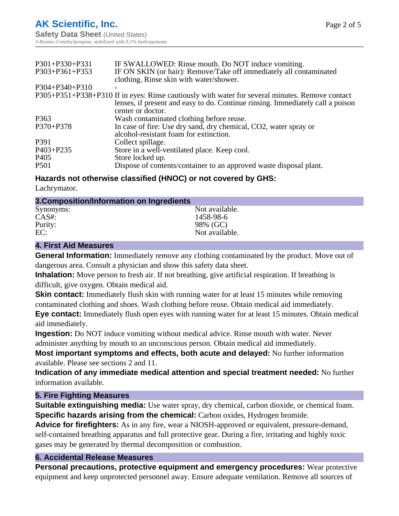| IF SWALLOWED: Rinse mouth. Do NOT induce vomiting.                                              |
|-------------------------------------------------------------------------------------------------|
| IF ON SKIN (or hair): Remove/Take off immediately all contaminated                              |
| clothing. Rinse skin with water/shower.                                                         |
|                                                                                                 |
| P305+P351+P338+P310 If in eyes: Rinse cautiously with water for several minutes. Remove contact |
| lenses, if present and easy to do. Continue rinsing. Immediately call a poison                  |
| center or doctor.                                                                               |
| Wash contaminated clothing before reuse.                                                        |
| In case of fire: Use dry sand, dry chemical, CO2, water spray or                                |
| alcohol-resistant foam for extinction.                                                          |
| Collect spillage.                                                                               |
| Store in a well-ventilated place. Keep cool.                                                    |
| Store locked up.                                                                                |
| Dispose of contents/container to an approved waste disposal plant.                              |
|                                                                                                 |

## **Hazards not otherwise classified (HNOC) or not covered by GHS:**

Lachrymator.

#### **3.Composition/Information on Ingredients**

| Synonyms: | Not available. |  |
|-----------|----------------|--|
| CAS#:     | 1458-98-6      |  |
| Purity:   | 98% (GC)       |  |
| EC:       | Not available. |  |
|           |                |  |

#### **4. First Aid Measures**

**General Information:** Immediately remove any clothing contaminated by the product. Move out of dangerous area. Consult a physician and show this safety data sheet.

**Inhalation:** Move person to fresh air. If not breathing, give artificial respiration. If breathing is difficult, give oxygen. Obtain medical aid.

**Skin contact:** Immediately flush skin with running water for at least 15 minutes while removing contaminated clothing and shoes. Wash clothing before reuse. Obtain medical aid immediately.

**Eye contact:** Immediately flush open eyes with running water for at least 15 minutes. Obtain medical aid immediately.

**Ingestion:** Do NOT induce vomiting without medical advice. Rinse mouth with water. Never administer anything by mouth to an unconscious person. Obtain medical aid immediately.

**Most important symptoms and effects, both acute and delayed:** No further information available. Please see sections 2 and 11.

**Indication of any immediate medical attention and special treatment needed:** No further information available.

#### **5. Fire Fighting Measures**

**Suitable extinguishing media:** Use water spray, dry chemical, carbon dioxide, or chemical foam. **Specific hazards arising from the chemical:** Carbon oxides, Hydrogen bromide.

**Advice for firefighters:** As in any fire, wear a NIOSH-approved or equivalent, pressure-demand, self-contained breathing apparatus and full protective gear. During a fire, irritating and highly toxic gases may be generated by thermal decomposition or combustion.

## **6. Accidental Release Measures**

**Personal precautions, protective equipment and emergency procedures:** Wear protective equipment and keep unprotected personnel away. Ensure adequate ventilation. Remove all sources of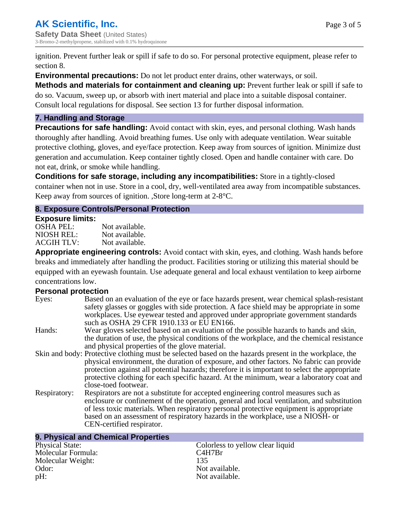ignition. Prevent further leak or spill if safe to do so. For personal protective equipment, please refer to section 8.

**Environmental precautions:** Do not let product enter drains, other waterways, or soil.

**Methods and materials for containment and cleaning up:** Prevent further leak or spill if safe to do so. Vacuum, sweep up, or absorb with inert material and place into a suitable disposal container. Consult local regulations for disposal. See section 13 for further disposal information.

#### **7. Handling and Storage**

**Precautions for safe handling:** Avoid contact with skin, eyes, and personal clothing. Wash hands thoroughly after handling. Avoid breathing fumes. Use only with adequate ventilation. Wear suitable protective clothing, gloves, and eye/face protection. Keep away from sources of ignition. Minimize dust generation and accumulation. Keep container tightly closed. Open and handle container with care. Do not eat, drink, or smoke while handling.

**Conditions for safe storage, including any incompatibilities:** Store in a tightly-closed container when not in use. Store in a cool, dry, well-ventilated area away from incompatible substances. Keep away from sources of ignition. ,Store long-term at 2-8°C.

## **8. Exposure Controls/Personal Protection**

#### **Exposure limits:**

| OSHA PEL:  | Not available. |
|------------|----------------|
| NIOSH REL: | Not available. |
| ACGIH TLV: | Not available. |

**Appropriate engineering controls:** Avoid contact with skin, eyes, and clothing. Wash hands before breaks and immediately after handling the product. Facilities storing or utilizing this material should be equipped with an eyewash fountain. Use adequate general and local exhaust ventilation to keep airborne concentrations low.

## **Personal protection**

| Eyes:        | Based on an evaluation of the eye or face hazards present, wear chemical splash-resistant<br>safety glasses or goggles with side protection. A face shield may be appropriate in some<br>workplaces. Use eyewear tested and approved under appropriate government standards<br>such as OSHA 29 CFR 1910.133 or EU EN166.                                                                                                |
|--------------|-------------------------------------------------------------------------------------------------------------------------------------------------------------------------------------------------------------------------------------------------------------------------------------------------------------------------------------------------------------------------------------------------------------------------|
| Hands:       | Wear gloves selected based on an evaluation of the possible hazards to hands and skin,<br>the duration of use, the physical conditions of the workplace, and the chemical resistance<br>and physical properties of the glove material.                                                                                                                                                                                  |
|              | Skin and body: Protective clothing must be selected based on the hazards present in the workplace, the<br>physical environment, the duration of exposure, and other factors. No fabric can provide<br>protection against all potential hazards; therefore it is important to select the appropriate<br>protective clothing for each specific hazard. At the minimum, wear a laboratory coat and<br>close-toed footwear. |
| Respiratory: | Respirators are not a substitute for accepted engineering control measures such as<br>enclosure or confinement of the operation, general and local ventilation, and substitution<br>of less toxic materials. When respiratory personal protective equipment is appropriate<br>based on an assessment of respiratory hazards in the workplace, use a NIOSH- or<br>CEN-certified respirator.                              |

| 9. Physical and Chemical Properties |                                  |
|-------------------------------------|----------------------------------|
| <b>Physical State:</b>              | Colorless to yellow clear liquid |
| Molecular Formula:                  | C4H7Br                           |
| Molecular Weight:                   | 135                              |
| Odor:                               | Not available.                   |
| pH:                                 | Not available.                   |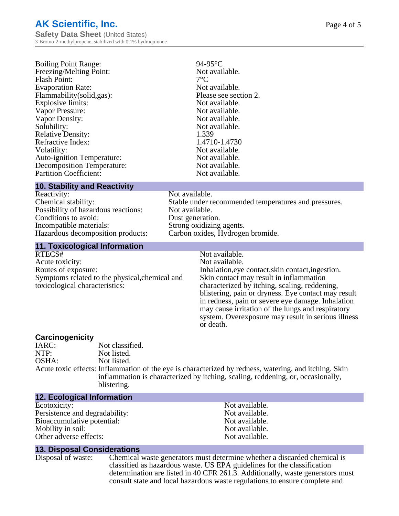| <b>Boiling Point Range:</b>       | 94-95         |
|-----------------------------------|---------------|
| Freezing/Melting Point:           | Not a         |
| Flash Point:                      | $7^{\circ}$ C |
| <b>Evaporation Rate:</b>          | Not a         |
| Flammability(solid,gas):          | Please        |
| Explosive limits:                 | Not a         |
| Vapor Pressure:                   | Not a         |
| Vapor Density:                    | Not a         |
| Solubility:                       | Not a         |
| <b>Relative Density:</b>          | 1.339         |
| Refractive Index:                 | 1.471         |
| Volatility:                       | Not a         |
| <b>Auto-ignition Temperature:</b> | Not a         |
| Decomposition Temperature:        | Not a         |
| <b>Partition Coefficient:</b>     | Not a         |

### Not available.<br> $7^{\circ}$ C Not available. Please see section 2. Not available. Not available. Not available. Not available. Refractive Index: 1.4710-1.4730 Not available. Not available. Not available. Not available.

 $94-95^{\circ}$ C

#### **10. Stability and Reactivity**

Reactivity: Not available.<br>Chemical stability: Stable under re Possibility of hazardous reactions: Not available. Conditions to avoid:<br>
Incompatible materials:<br>
Strong oxidizing Hazardous decomposition products: Carbon oxides, Hydrogen bromide.

Stable under recommended temperatures and pressures. Strong oxidizing agents.

# **11. Toxicological Information**

Acute toxicity: Routes of exposure: The Inhalation, eve contact, skin contact, ingestion. Symptoms related to the physical,chemical and toxicological characteristics:

Not available.<br>Not available. Skin contact may result in inflammation characterized by itching, scaling, reddening, blistering, pain or dryness. Eye contact may result in redness, pain or severe eye damage. Inhalation may cause irritation of the lungs and respiratory system. Overexposure may result in serious illness or death.

## **Carcinogenicity**

IARC: Not classified.<br>
Not listed. NTP:<br>
OSHA: Not listed.<br>
Not listed. Not listed. Acute toxic effects: Inflammation of the eye is characterized by redness, watering, and itching. Skin inflammation is characterized by itching, scaling, reddening, or, occasionally, blistering.

| <b>12. Ecological Information</b> |                |
|-----------------------------------|----------------|
| Ecotoxicity:                      | Not available. |
| Persistence and degradability:    | Not available. |
| Bioaccumulative potential:        | Not available. |
| Mobility in soil:                 | Not available. |
| Other adverse effects:            | Not available. |

#### **13. Disposal Considerations**

Disposal of waste: Chemical waste generators must determine whether a discarded chemical is classified as hazardous waste. US EPA guidelines for the classification determination are listed in 40 CFR 261.3. Additionally, waste generators must consult state and local hazardous waste regulations to ensure complete and